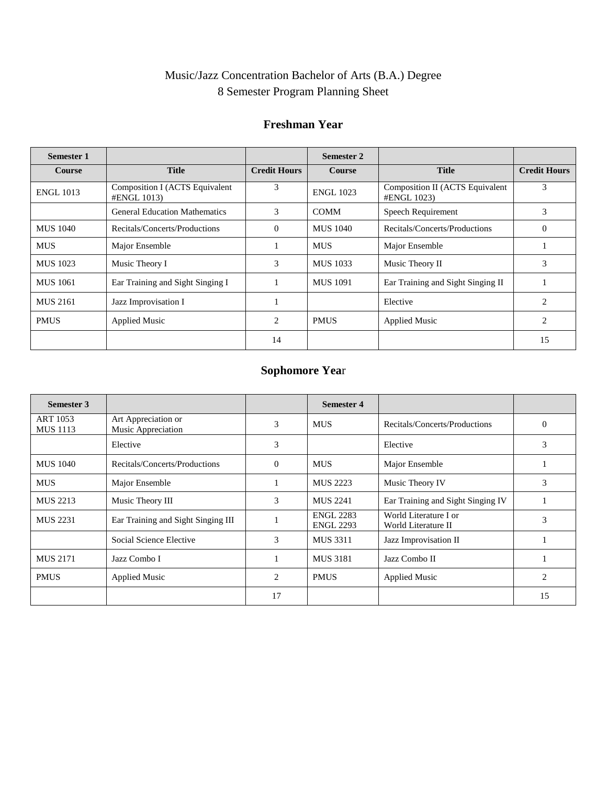# Music/Jazz Concentration Bachelor of Arts (B.A.) Degree 8 Semester Program Planning Sheet

### **Freshman Year**

| <b>Semester 1</b> |                                               |                     | Semester 2       |                                                |                     |
|-------------------|-----------------------------------------------|---------------------|------------------|------------------------------------------------|---------------------|
| <b>Course</b>     | <b>Title</b>                                  | <b>Credit Hours</b> | <b>Course</b>    | <b>Title</b>                                   | <b>Credit Hours</b> |
| <b>ENGL 1013</b>  | Composition I (ACTS Equivalent<br>#ENGL 1013) | 3                   | <b>ENGL 1023</b> | Composition II (ACTS Equivalent<br>#ENGL 1023) | 3                   |
|                   | <b>General Education Mathematics</b>          | 3                   | <b>COMM</b>      | Speech Requirement                             | 3                   |
| <b>MUS 1040</b>   | Recitals/Concerts/Productions                 | $\Omega$            | MUS 1040         | Recitals/Concerts/Productions                  | $\Omega$            |
| <b>MUS</b>        | Major Ensemble                                |                     | <b>MUS</b>       | Major Ensemble                                 |                     |
| MUS 1023          | Music Theory I                                | 3                   | <b>MUS 1033</b>  | Music Theory II                                | 3                   |
| <b>MUS 1061</b>   | Ear Training and Sight Singing I              |                     | <b>MUS 1091</b>  | Ear Training and Sight Singing II              |                     |
| <b>MUS 2161</b>   | Jazz Improvisation I                          |                     |                  | Elective                                       | $\overline{2}$      |
| <b>PMUS</b>       | <b>Applied Music</b>                          | 2                   | <b>PMUS</b>      | <b>Applied Music</b>                           | $\overline{2}$      |
|                   |                                               | 14                  |                  |                                                | 15                  |

## **Sophomore Yea**r

| Semester 3                  |                                           |                             | <b>Semester 4</b>                    |                                              |          |
|-----------------------------|-------------------------------------------|-----------------------------|--------------------------------------|----------------------------------------------|----------|
| ART 1053<br><b>MUS</b> 1113 | Art Appreciation or<br>Music Appreciation | 3                           | <b>MUS</b>                           | Recitals/Concerts/Productions                | $\Omega$ |
|                             | Elective                                  | 3                           |                                      | Elective                                     | 3        |
| <b>MUS</b> 1040             | Recitals/Concerts/Productions             | $\Omega$                    | <b>MUS</b>                           | Major Ensemble                               |          |
| <b>MUS</b>                  | Major Ensemble                            |                             | <b>MUS 2223</b>                      | Music Theory IV                              | 3        |
| <b>MUS 2213</b>             | Music Theory III                          | 3                           | <b>MUS 2241</b>                      | Ear Training and Sight Singing IV            |          |
| <b>MUS 2231</b>             | Ear Training and Sight Singing III        |                             | <b>ENGL 2283</b><br><b>ENGL 2293</b> | World Literature I or<br>World Literature II | 3        |
|                             | Social Science Elective                   | 3                           | <b>MUS 3311</b>                      | Jazz Improvisation II                        |          |
| <b>MUS 2171</b>             | Jazz Combo I                              |                             | <b>MUS 3181</b>                      | Jazz Combo II                                |          |
| <b>PMUS</b>                 | <b>Applied Music</b>                      | $\mathcal{D}_{\mathcal{L}}$ | <b>PMUS</b>                          | <b>Applied Music</b>                         | 2        |
|                             |                                           | 17                          |                                      |                                              | 15       |